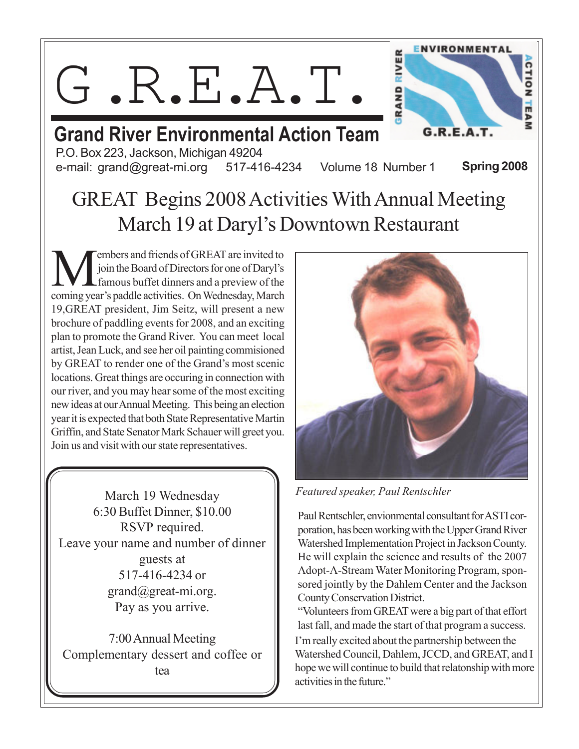G.R.E.A.T.



#### Grand River Environmental Action Team P.O. Box 223, Jackson, Michigan 49204

e-mail: grand@great-mi.org 517-416-4234 Volume 18 Number 1

Spring 2008

## GREAT Begins 2008 Activities With Annual Meeting March 19 at Daryl's Downtown Restaurant

**M** embers and friends of GREAT are invited to join the Board of Directors for one of Daryl's famous buffet dinners and a preview of the coming year's paddle activities. On Wednesday, March embers and friends of GREAT are invited to join the Board of Directors for one of Daryl's famous buffet dinners and a preview of the 19,GREAT president, Jim Seitz, will present a new brochure of paddling events for 2008, and an exciting plan to promote the Grand River. You can meet local artist, Jean Luck, and see her oil painting commisioned by GREAT to render one of the Grand's most scenic locations. Great things are occuring in connection with our river, and you may hear some of the most exciting new ideas at our Annual Meeting. This being an election year it is expected that both State Representative Martin Griffin, and State Senator Mark Schauer will greet you. Join us and visit with our state representatives.

March 19 Wednesday 6:30 Buffet Dinner, \$10.00 RSVP required. Leave your name and number of dinner guests at 517-416-4234 or grand@great-mi.org. Pay as you arrive.

7:00 Annual Meeting Complementary dessert and coffee or tea



Featured speaker, Paul Rentschler

Paul Rentschler, envionmental consultant for ASTI corporation, has been working with the Upper Grand River Watershed Implementation Project in Jackson County. He will explain the science and results of the 2007 Adopt-A-Stream Water Monitoring Program, sponsored jointly by the Dahlem Center and the Jackson County Conservation District.

"Volunteers from GREAT were a big part of that effort last fall, and made the start of that program a success. I'm really excited about the partnership between the Watershed Council, Dahlem, JCCD, and GREAT, and I hope we will continue to build that relatonship with more activities in the future."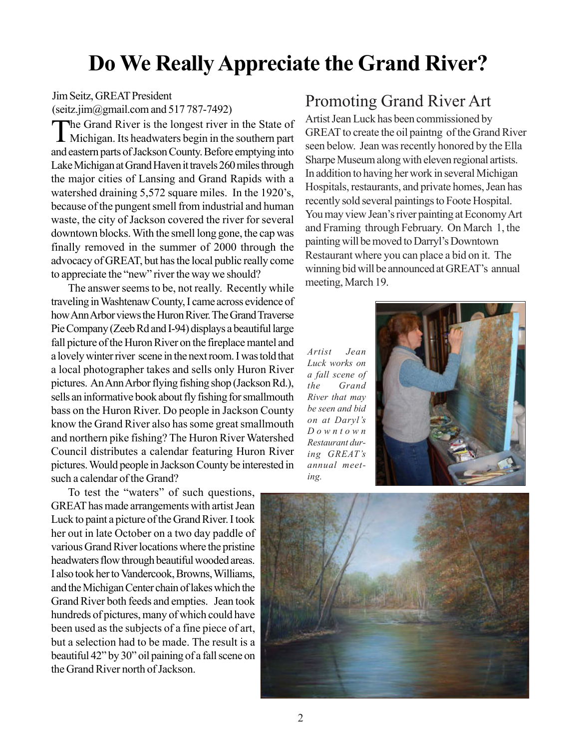## Do We Really Appreciate the Grand River?

Jim Seitz, GREAT President (seitz.jim@gmail.com and  $517787-7492$ )

T he Grand River is the longest river in the State of Michigan. Its headwaters begin in the southern part and eastern parts of Jackson County. Before emptying into Lake Michigan at Grand Haven it travels 260 miles through the major cities of Lansing and Grand Rapids with a watershed draining 5,572 square miles. In the 1920's, because of the pungent smell from industrial and human waste, the city of Jackson covered the river for several downtown blocks. With the smell long gone, the cap was finally removed in the summer of 2000 through the advocacy of GREAT, but has the local public really come to appreciate the "new" river the way we should?

The answer seems to be, not really. Recently while traveling in Washtenaw County, I came across evidence of how Ann Arbor views the Huron River. The Grand Traverse Pie Company (Zeeb Rd and I-94) displays a beautiful large fall picture of the Huron River on the fireplace mantel and a lovely winter river scene in the next room. I was told that a local photographer takes and sells only Huron River pictures. An Ann Arbor flying fishing shop (Jackson Rd.), sells an informative book about fly fishing for smallmouth bass on the Huron River. Do people in Jackson County know the Grand River also has some great smallmouth and northern pike fishing? The Huron River Watershed Council distributes a calendar featuring Huron River pictures. Would people in Jackson County be interested in such a calendar of the Grand?

To test the "waters" of such questions, GREAT has made arrangements with artist Jean Luck to paint a picture of the Grand River. I took her out in late October on a two day paddle of various Grand River locations where the pristine headwaters flow through beautiful wooded areas. I also took her to Vandercook, Browns, Williams, and the Michigan Center chain of lakes which the Grand River both feeds and empties. Jean took hundreds of pictures, many of which could have been used as the subjects of a fine piece of art, but a selection had to be made. The result is a beautiful 42" by 30" oil paining of a fall scene on the Grand River north of Jackson.

#### Promoting Grand River Art

Artist Jean Luck has been commissioned by GREAT to create the oil paintng of the Grand River seen below. Jean was recently honored by the Ella Sharpe Museum along with eleven regional artists. In addition to having her work in several Michigan Hospitals, restaurants, and private homes, Jean has recently sold several paintings to Foote Hospital. You may view Jean's river painting at Economy Art and Framing through February. On March 1, the painting will be moved to Darryl's Downtown Restaurant where you can place a bid on it. The winning bid will be announced at GREAT's annual meeting, March 19.

Artist Jean Luck works on a fall scene of the Grand River that may be seen and bid on at Daryl's Downtown Restaurant during GREAT's annual meeting.



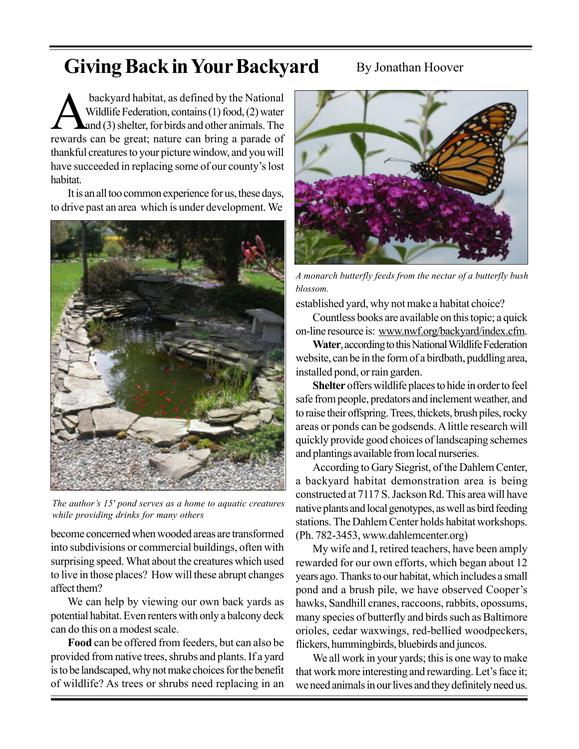## Giving Back in Your Backyard

#### By Jonathan Hoover

backyard habitat, as defined by the National<br>Wildlife Federation, contains (1) food, (2) water<br>rewards can be great; nature can bring a parade of backyard habitat, as defined by the National Wildlife Federation, contains (1) food, (2) water and (3) shelter, for birds and other animals. The thankful creatures to your picture window, and you will have succeeded in replacing some of our county's lost habitat.

It is an all too common experience for us, these days, to drive past an area which is under development. We



The author's 15' pond serves as a home to aquatic creatures while providing drinks for many others

become concerned when wooded areas are transformed into subdivisions or commercial buildings, often with surprising speed. What about the creatures which used to live in those places? How will these abrupt changes affect them?

We can help by viewing our own back yards as potential habitat. Even renters with only a balcony deck can do this on a modest scale.

Food can be offered from feeders, but can also be provided from native trees, shrubs and plants. If a yard is to be landscaped, why not make choices for the benefit of wildlife? As trees or shrubs need replacing in an



A monarch butterfly feeds from the nectar of a butterfly bush blossom.

established yard, why not make a habitat choice?

Countless books are available on this topic; a quick on-line resource is: www.nwf.org/backyard/index.cfm.

Water, according to this National Wildlife Federation website, can be in the form of a birdbath, puddling area, installed pond, or rain garden.

Shelter offers wildlife places to hide in order to feel safe from people, predators and inclement weather, and to raise their offspring. Trees, thickets, brush piles, rocky areas or ponds can be godsends. A little research will quickly provide good choices of landscaping schemes and plantings available from local nurseries.

According to Gary Siegrist, of the Dahlem Center, a backyard habitat demonstration area is being constructed at 7117 S. Jackson Rd. This area will have native plants and local genotypes, as well as bird feeding stations. The Dahlem Center holds habitat workshops. (Ph. 782-3453, www.dahlemcenter.org)

My wife and I, retired teachers, have been amply rewarded for our own efforts, which began about 12 years ago. Thanks to our habitat, which includes a small pond and a brush pile, we have observed Cooper's hawks, Sandhill cranes, raccoons, rabbits, opossums, many species of butterfly and birds such as Baltimore orioles, cedar waxwings, red-bellied woodpeckers, flickers, hummingbirds, bluebirds and juncos.

We all work in your yards; this is one way to make that work more interesting and rewarding. Let's face it; we need animals in our lives and they definitely need us.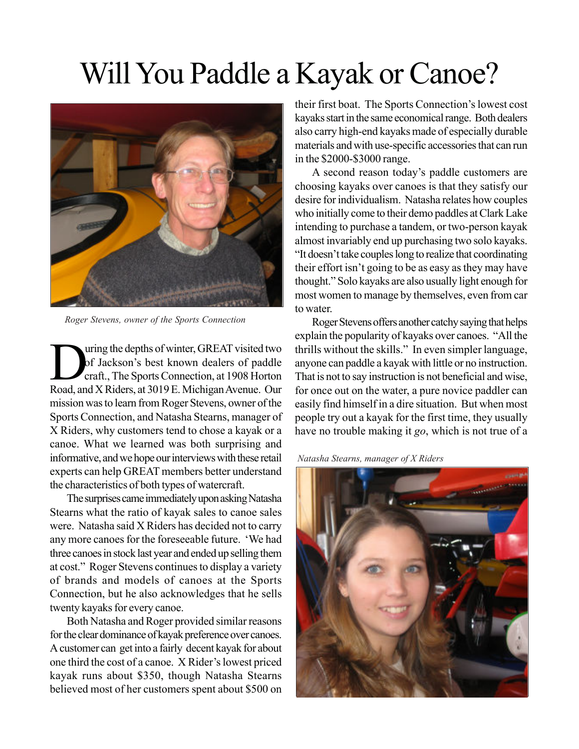# Will You Paddle a Kayak or Canoe?



Roger Stevens, owner of the Sports Connection

Ultimated two of Jackson's best known dealers of paddle craft., The Sports Connection, at 1908 Horton Road, and X Riders, at 3019 E. Michigan Avenue. Our uring the depths of winter, GREAT visited two of Jackson's best known dealers of paddle craft., The Sports Connection, at 1908 Horton mission was to learn from Roger Stevens, owner of the Sports Connection, and Natasha Stearns, manager of X Riders, why customers tend to chose a kayak or a canoe. What we learned was both surprising and informative, and we hope our interviews with these retail experts can help GREAT members better understand the characteristics of both types of watercraft.

The surprises came immediately upon asking Natasha Stearns what the ratio of kayak sales to canoe sales were. Natasha said X Riders has decided not to carry any more canoes for the foreseeable future. 'We had three canoes in stock last year and ended up selling them at cost." Roger Stevens continues to display a variety of brands and models of canoes at the Sports Connection, but he also acknowledges that he sells twenty kayaks for every canoe.

Both Natasha and Roger provided similar reasons for the clear dominance of kayak preference over canoes. A customer can get into a fairly decent kayak for about one third the cost of a canoe. X Rider's lowest priced kayak runs about \$350, though Natasha Stearns believed most of her customers spent about \$500 on their first boat. The Sports Connection's lowest cost kayaks start in the same economical range. Both dealers also carry high-end kayaks made of especially durable materials and with use-specific accessories that can run in the \$2000-\$3000 range.

A second reason today's paddle customers are choosing kayaks over canoes is that they satisfy our desire for individualism. Natasha relates how couples who initially come to their demo paddles at Clark Lake intending to purchase a tandem, or two-person kayak almost invariably end up purchasing two solo kayaks. "It doesn't take couples long to realize that coordinating their effort isn't going to be as easy as they may have thought." Solo kayaks are also usually light enough for most women to manage by themselves, even from car to water.

Roger Stevens offers another catchy saying that helps explain the popularity of kayaks over canoes. "All the thrills without the skills." In even simpler language, anyone can paddle a kayak with little or no instruction. That is not to say instruction is not beneficial and wise, for once out on the water, a pure novice paddler can easily find himself in a dire situation. But when most people try out a kayak for the first time, they usually have no trouble making it go, which is not true of a

Natasha Stearns, manager of X Riders

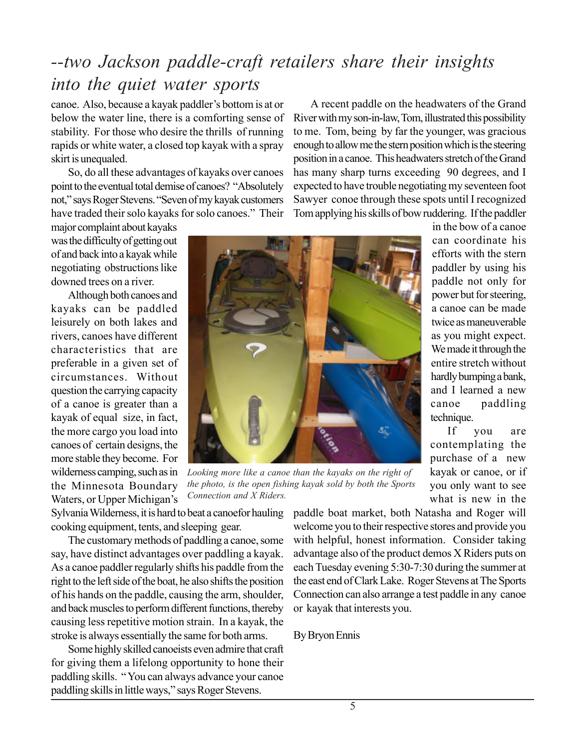## --two Jackson paddle-craft retailers share their insights into the quiet water sports

canoe. Also, because a kayak paddler's bottom is at or below the water line, there is a comforting sense of stability. For those who desire the thrills of running rapids or white water, a closed top kayak with a spray skirt is unequaled.

So, do all these advantages of kayaks over canoes point to the eventual total demise of canoes? "Absolutely not," says Roger Stevens. "Seven of my kayak customers have traded their solo kayaks for solo canoes." Their

major complaint about kayaks was the difficulty of getting out of and back into a kayak while negotiating obstructions like downed trees on a river.

Although both canoes and kayaks can be paddled leisurely on both lakes and rivers, canoes have different characteristics that are preferable in a given set of circumstances. Without question the carrying capacity of a canoe is greater than a kayak of equal size, in fact, the more cargo you load into canoes of certain designs, the more stable they become. For wilderness camping, such as in the Minnesota Boundary Waters, or Upper Michigan's

Looking more like a canoe than the kayaks on the right of the photo, is the open fishing kayak sold by both the Sports Connection and X Riders.

in the bow of a canoe can coordinate his efforts with the stern paddler by using his paddle not only for power but for steering, a canoe can be made twice as maneuverable as you might expect. We made it through the entire stretch without hardly bumping a bank, and I learned a new canoe paddling technique.

If you are contemplating the purchase of a new kayak or canoe, or if you only want to see what is new in the

Sylvania Wilderness, it is hard to beat a canoefor hauling cooking equipment, tents, and sleeping gear.

The customary methods of paddling a canoe, some say, have distinct advantages over paddling a kayak. As a canoe paddler regularly shifts his paddle from the right to the left side of the boat, he also shifts the position of his hands on the paddle, causing the arm, shoulder, and back muscles to perform different functions, thereby causing less repetitive motion strain. In a kayak, the stroke is always essentially the same for both arms.

Some highly skilled canoeists even admire that craft for giving them a lifelong opportunity to hone their paddling skills. " You can always advance your canoe paddling skills in little ways," says Roger Stevens.

paddle boat market, both Natasha and Roger will welcome you to their respective stores and provide you with helpful, honest information. Consider taking advantage also of the product demos X Riders puts on each Tuesday evening 5:30-7:30 during the summer at the east end of Clark Lake. Roger Stevens at The Sports Connection can also arrange a test paddle in any canoe or kayak that interests you.

A recent paddle on the headwaters of the Grand River with my son-in-law, Tom, illustrated this possibility to me. Tom, being by far the younger, was gracious enough to allow me the stern position which is the steering position in a canoe. This headwaters stretch of the Grand has many sharp turns exceeding 90 degrees, and I expected to have trouble negotiating my seventeen foot Sawyer conoe through these spots until I recognized Tom applying his skills of bow ruddering. If the paddler

#### By Bryon Ennis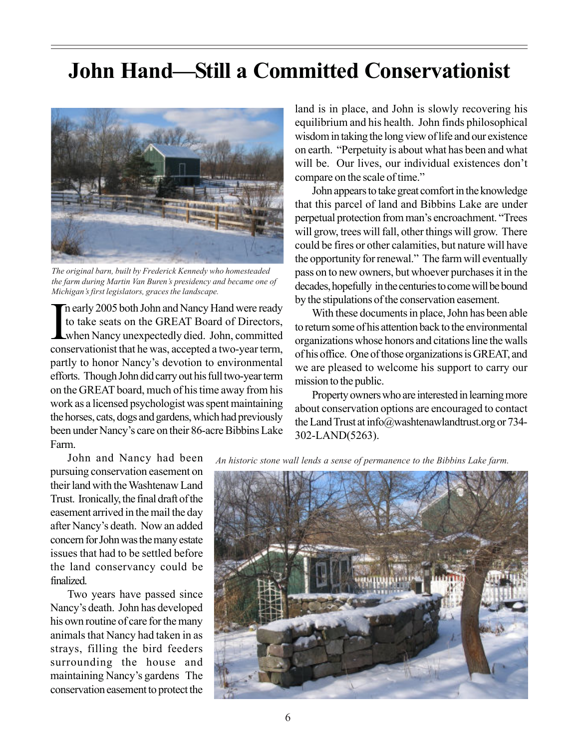## John Hand—Still a Committed Conservationist



The original barn, built by Frederick Kennedy who homesteaded the farm during Martin Van Buren's presidency and became one of Michigan's first legislators, graces the landscape.

In early 2005 both John and Nancy Hand were ready<br>to take seats on the GREAT Board of Directors,<br>when Nancy unexpectedly died. John, committed<br>conservationist that he was, accepted a two-year term, n early 2005 both John and Nancy Hand were ready to take seats on the GREAT Board of Directors, when Nancy unexpectedly died. John, committed partly to honor Nancy's devotion to environmental efforts. Though John did carry out his full two-year term on the GREAT board, much of his time away from his work as a licensed psychologist was spent maintaining the horses, cats, dogs and gardens, which had previously been under Nancy's care on their 86-acre Bibbins Lake Farm.

John and Nancy had been pursuing conservation easement on their land with the Washtenaw Land Trust. Ironically, the final draft of the easement arrived in the mail the day after Nancy's death. Now an added concern for John was the many estate issues that had to be settled before the land conservancy could be finalized.

Two years have passed since Nancy's death. John has developed his own routine of care for the many animals that Nancy had taken in as strays, filling the bird feeders surrounding the house and maintaining Nancy's gardens The conservation easement to protect the land is in place, and John is slowly recovering his equilibrium and his health. John finds philosophical wisdom in taking the long view of life and our existence on earth. "Perpetuity is about what has been and what will be. Our lives, our individual existences don't compare on the scale of time."

John appears to take great comfort in the knowledge that this parcel of land and Bibbins Lake are under perpetual protection from man's encroachment. "Trees will grow, trees will fall, other things will grow. There could be fires or other calamities, but nature will have the opportunity for renewal." The farm will eventually pass on to new owners, but whoever purchases it in the decades, hopefully in the centuries to come will be bound by the stipulations of the conservation easement.

With these documents in place, John has been able to return some of his attention back to the environmental organizations whose honors and citations line the walls of his office. One of those organizations is GREAT, and we are pleased to welcome his support to carry our mission to the public.

Property owners who are interested in learning more about conservation options are encouraged to contact the Land Trust at info@washtenawlandtrust.org or 734- 302-LAND(5263).

An historic stone wall lends a sense of permanence to the Bibbins Lake farm.

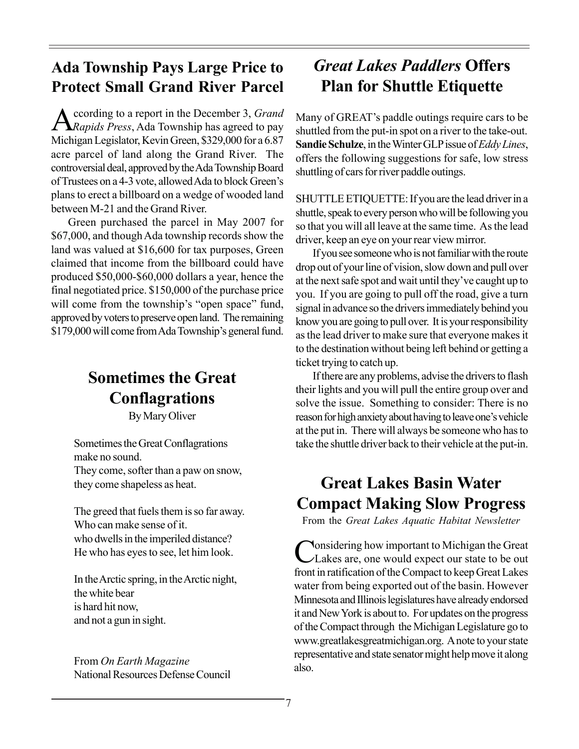#### Ada Township Pays Large Price to Protect Small Grand River Parcel

A ccording to a report in the December 3, Grand<br>Rapids Press, Ada Township has agreed to pay ccording to a report in the December 3, Grand Michigan Legislator, Kevin Green, \$329,000 for a 6.87 acre parcel of land along the Grand River. The controversial deal, approved by the Ada Township Board of Trustees on a 4-3 vote, allowed Ada to block Green's plans to erect a billboard on a wedge of wooded land between M-21 and the Grand River.

Green purchased the parcel in May 2007 for \$67,000, and though Ada township records show the land was valued at \$16,600 for tax purposes, Green claimed that income from the billboard could have produced \$50,000-\$60,000 dollars a year, hence the final negotiated price. \$150,000 of the purchase price will come from the township's "open space" fund, approved by voters to preserve open land. The remaining \$179,000 will come from Ada Township's general fund.

#### Sometimes the Great **Conflagrations**

By Mary Oliver

Sometimes the Great Conflagrations make no sound. They come, softer than a paw on snow, they come shapeless as heat.

The greed that fuels them is so far away. Who can make sense of it. who dwells in the imperiled distance? He who has eyes to see, let him look.

In the Arctic spring, in the Arctic night, the white bear is hard hit now, and not a gun in sight.

From On Earth Magazine National Resources Defense Council

### Great Lakes Paddlers Offers Plan for Shuttle Etiquette

Many of GREAT's paddle outings require cars to be shuttled from the put-in spot on a river to the take-out. Sandie Schulze, in the Winter GLP issue of Eddy Lines, offers the following suggestions for safe, low stress shuttling of cars for river paddle outings.

SHUTTLE ETIQUETTE: If you are the lead driver in a shuttle, speak to every person who will be following you so that you will all leave at the same time. As the lead driver, keep an eye on your rear view mirror.

If you see someone who is not familiar with the route drop out of your line of vision, slow down and pull over at the next safe spot and wait until they've caught up to you. If you are going to pull off the road, give a turn signal in advance so the drivers immediately behind you know you are going to pull over. It is your responsibility as the lead driver to make sure that everyone makes it to the destination without being left behind or getting a ticket trying to catch up.

If there are any problems, advise the drivers to flash their lights and you will pull the entire group over and solve the issue. Something to consider: There is no reason for high anxiety about having to leave one's vehicle at the put in. There will always be someone who has to take the shuttle driver back to their vehicle at the put-in.

### Great Lakes Basin Water Compact Making Slow Progress

From the Great Lakes Aquatic Habitat Newsletter

Considering how important to Michigan the Great<br>Lakes are, one would expect our state to be out **Nonsidering how important to Michigan the Great** front in ratification of the Compact to keep Great Lakes water from being exported out of the basin. However Minnesota and Illinois legislatures have already endorsed it and New York is about to. For updates on the progress of the Compact through the Michigan Legislature go to www.greatlakesgreatmichigan.org. A note to your state representative and state senator might help move it along also.